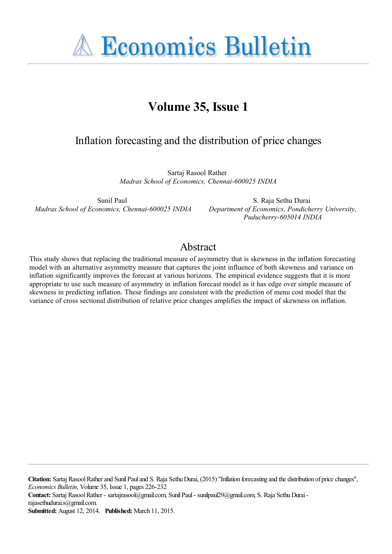**A Economics Bulletin** 

# **Volume 35, Issue 1**

# Inflation forecasting and the distribution of price changes

Sartaj Rasool Rather *Madras School of Economics, Chennai-600025 INDIA*

Sunil Paul *Madras School of Economics, Chennai-600025 INDIA*

S. Raja Sethu Durai *Department of Economics, Pondicherry University, Puducherry-605014 INDIA*

# Abstract

This study shows that replacing the traditional measure of asymmetry that is skewness in the inflation forecasting model with an alternative asymmetry measure that captures the joint influence of both skewness and variance on inflation significantly improves the forecast at various horizons. The empirical evidence suggests that it is more appropriate to use such measure of asymmetry in inflation forecast model as it has edge over simple measure of skewness in predicting inflation. These findings are consistent with the prediction of menu cost model that the variance of cross sectional distribution of relative price changes amplifies the impact of skewness on inflation.

**Citation:** Sartaj Rasool Rather and Sunil Paul and S. Raja Sethu Durai, (2015) ''Inflation forecasting and the distribution of price changes'', *Economics Bulletin*, Volume 35, Issue 1, pages 226-232 **Contact:** Sartaj Rasool Rather - sartajrasool@gmail.com, Sunil Paul - sunilpaul29@gmail.com, S. Raja Sethu Durai rajasethudurai.s@gmail.com.

**Submitted:** August 12, 2014. **Published:** March 11, 2015.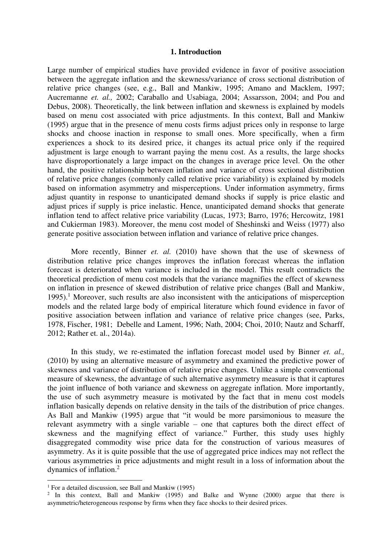## **1. Introduction**

Large number of empirical studies have provided evidence in favor of positive association between the aggregate inflation and the skewness/variance of cross sectional distribution of relative price changes (see, e.g., Ball and Mankiw, 1995; Amano and Macklem, 1997; Aucremanne *et. al.,* 2002; Caraballo and Usabiaga, 2004; Assarsson, 2004; and Pou and Debus, 2008). Theoretically, the link between inflation and skewness is explained by models based on menu cost associated with price adjustments. In this context, Ball and Mankiw (1995) argue that in the presence of menu costs firms adjust prices only in response to large shocks and choose inaction in response to small ones. More specifically, when a firm experiences a shock to its desired price, it changes its actual price only if the required adjustment is large enough to warrant paying the menu cost. As a results, the large shocks have disproportionately a large impact on the changes in average price level. On the other hand, the positive relationship between inflation and variance of cross sectional distribution of relative price changes (commonly called relative price variability) is explained by models based on information asymmetry and misperceptions. Under information asymmetry, firms adjust quantity in response to unanticipated demand shocks if supply is price elastic and adjust prices if supply is price inelastic. Hence, unanticipated demand shocks that generate inflation tend to affect relative price variability (Lucas, 1973; Barro, 1976; Hercowitz, 1981 and Cukierman 1983). Moreover, the menu cost model of Sheshinski and Weiss (1977) also generate positive association between inflation and variance of relative price changes.

More recently, Binner *et. al.* (2010) have shown that the use of skewness of distribution relative price changes improves the inflation forecast whereas the inflation forecast is deteriorated when variance is included in the model. This result contradicts the theoretical prediction of menu cost models that the variance magnifies the effect of skewness on inflation in presence of skewed distribution of relative price changes (Ball and Mankiw, 1995).<sup>1</sup> Moreover, such results are also inconsistent with the anticipations of misperception models and the related large body of empirical literature which found evidence in favor of positive association between inflation and variance of relative price changes (see, Parks, 1978, Fischer, 1981; Debelle and Lament, 1996; Nath, 2004; Choi, 2010; Nautz and Scharff, 2012; Rather et. al., 2014a).

In this study, we re-estimated the inflation forecast model used by Binner *et. al.,* (2010) by using an alternative measure of asymmetry and examined the predictive power of skewness and variance of distribution of relative price changes. Unlike a simple conventional measure of skewness, the advantage of such alternative asymmetry measure is that it captures the joint influence of both variance and skewness on aggregate inflation. More importantly, the use of such asymmetry measure is motivated by the fact that in menu cost models inflation basically depends on relative density in the tails of the distribution of price changes. As Ball and Mankiw (1995) argue that "it would be more parsimonious to measure the relevant asymmetry with a single variable – one that captures both the direct effect of skewness and the magnifying effect of variance." Further, this study uses highly disaggregated commodity wise price data for the construction of various measures of asymmetry. As it is quite possible that the use of aggregated price indices may not reflect the various asymmetries in price adjustments and might result in a loss of information about the dynamics of inflation.<sup>2</sup>

 $\overline{a}$ 

<sup>&</sup>lt;sup>1</sup> For a detailed discussion, see Ball and Mankiw (1995)

<sup>&</sup>lt;sup>2</sup> In this context, Ball and Mankiw (1995) and Balke and Wynne (2000) argue that there is asymmetric/heterogeneous response by firms when they face shocks to their desired prices.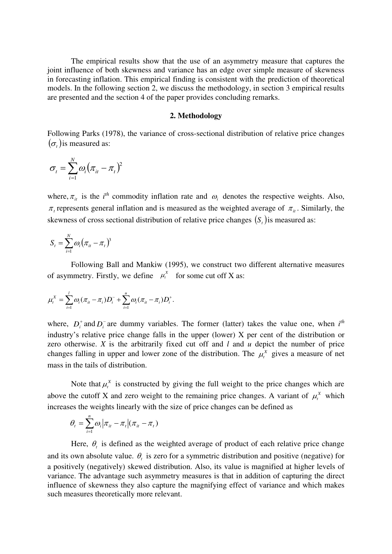The empirical results show that the use of an asymmetry measure that captures the joint influence of both skewness and variance has an edge over simple measure of skewness in forecasting inflation. This empirical finding is consistent with the prediction of theoretical models. In the following section 2, we discuss the methodology, in section 3 empirical results are presented and the section 4 of the paper provides concluding remarks.

# **2. Methodology**

Following Parks (1978), the variance of cross-sectional distribution of relative price changes  $(\sigma_t)$  is measured as:

$$
\sigma_t = \sum_{i=1}^N \omega_i (\pi_{it} - \pi_t)^2
$$

where,  $\pi_{it}$  is the *i*<sup>th</sup> commodity inflation rate and  $\omega_i$  denotes the respective weights. Also,  $\pi$ , represents general inflation and is measured as the weighted average of  $\pi$ <sub>*ii*</sub>. Similarly, the skewness of cross sectional distribution of relative price changes  $(S<sub>r</sub>)$  is measured as:

$$
S_t = \sum_{i=1}^N \omega_i (\pi_{it} - \pi_t)^3
$$

Following Ball and Mankiw (1995), we construct two different alternative measures of asymmetry. Firstly, we define  $\mu_t^X$  for some cut off X as:

$$
\mu_i^X = \sum_{i=1}^l \omega_i (\pi_{ii} - \pi_i) D_i^- + \sum_{i=1}^u \omega_i (\pi_{ii} - \pi_i) D_i^+.
$$

where,  $D_i^+$  and  $D_i^-$  are dummy variables. The former (latter) takes the value one, when  $i^{th}$ industry's relative price change falls in the upper (lower) X per cent of the distribution or zero otherwise. *X* is the arbitrarily fixed cut off and *l* and *u* depict the number of price changes falling in upper and lower zone of the distribution. The  $\mu_t^X$  gives a measure of net mass in the tails of distribution.

Note that  $\mu_t^X$  is constructed by giving the full weight to the price changes which are above the cutoff X and zero weight to the remaining price changes. A variant of  $\mu_t^X$  which increases the weights linearly with the size of price changes can be defined as

$$
\theta_t = \sum_{i=1}^n \omega_i \big| \pi_{it} - \pi_t \big| (\pi_{it} - \pi_t)
$$

Here,  $\theta_t$  is defined as the weighted average of product of each relative price change and its own absolute value.  $\theta_t$  is zero for a symmetric distribution and positive (negative) for a positively (negatively) skewed distribution. Also, its value is magnified at higher levels of variance. The advantage such asymmetry measures is that in addition of capturing the direct influence of skewness they also capture the magnifying effect of variance and which makes such measures theoretically more relevant.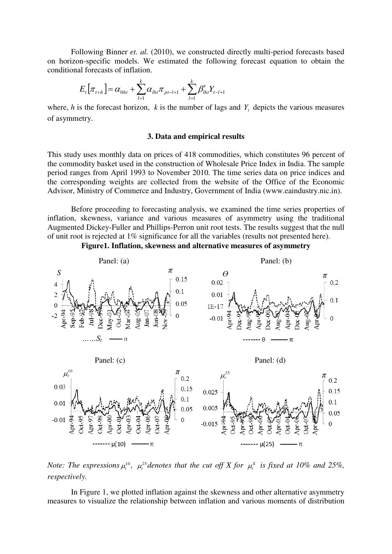Following Binner *et. al.* (2010), we constructed directly multi-period forecasts based on horizon-specific models. We estimated the following forecast equation to obtain the conditional forecasts of inflation.

$$
E_{t}[\pi_{t+h}] = \alpha_{0ht} + \sum_{l=1}^{k} \alpha_{lh} \pi_{pt-l+1} + \sum_{l=1}^{k} \beta'_{lh} Y_{t-l+1}
$$

where,  $h$  is the forecast horizon,  $k$  is the number of lags and  $Y_t$  depicts the various measures of asymmetry.

### **3. Data and empirical results**

This study uses monthly data on prices of 418 commodities, which constitutes 96 percent of the commodity basket used in the construction of Wholesale Price Index in India. The sample period ranges from April 1993 to November 2010. The time series data on price indices and the corresponding weights are collected from the website of the Office of the Economic Advisor, Ministry of Commerce and Industry, Government of India (www.eaindustry.nic.in).

Before proceeding to forecasting analysis, we examined the time series properties of inflation, skewness, variance and various measures of asymmetry using the traditional Augmented Dickey-Fuller and Phillips-Perron unit root tests. The results suggest that the null of unit root is rejected at 1% significance for all the variables (results not presented here).





*Note: The expressions*  $\mu_t^{10}$ ,  $\mu_t^{25}$  *denotes that the cut off X for*  $\mu_t^X$  *is fixed at 10% and 25%, respectively.* 

In Figure 1, we plotted inflation against the skewness and other alternative asymmetry measures to visualize the relationship between inflation and various moments of distribution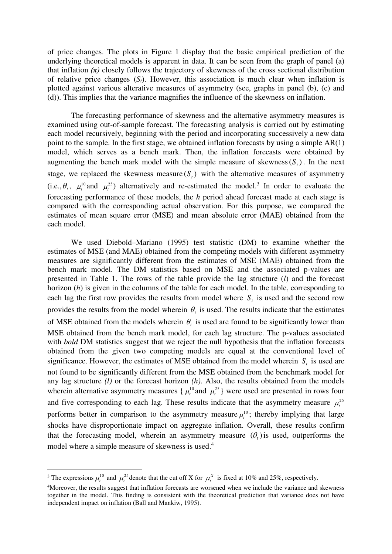of price changes. The plots in Figure 1 display that the basic empirical prediction of the underlying theoretical models is apparent in data. It can be seen from the graph of panel (a) that inflation *(π)* closely follows the trajectory of skewness of the cross sectional distribution of relative price changes  $(S_t)$ . However, this association is much clear when inflation is plotted against various alterative measures of asymmetry (see, graphs in panel (b), (c) and (d)). This implies that the variance magnifies the influence of the skewness on inflation.

The forecasting performance of skewness and the alternative asymmetry measures is examined using out-of-sample forecast. The forecasting analysis is carried out by estimating each model recursively, beginning with the period and incorporating successively a new data point to the sample. In the first stage, we obtained inflation forecasts by using a simple AR(1) model, which serves as a bench mark. Then, the inflation forecasts were obtained by augmenting the bench mark model with the simple measure of skewness( $S_t$ ). In the next stage, we replaced the skewness measure  $(S_t)$  with the alternative measures of asymmetry (i.e.,  $\theta_t$ ,  $\mu_t^{10}$  and  $\mu_t^{25}$ ) alternatively and re-estimated the model.<sup>3</sup> In order to evaluate the forecasting performance of these models, the *h* period ahead forecast made at each stage is compared with the corresponding actual observation. For this purpose, we compared the estimates of mean square error (MSE) and mean absolute error (MAE) obtained from the each model.

We used Diebold–Mariano (1995) test statistic (DM) to examine whether the estimates of MSE (and MAE) obtained from the competing models with different asymmetry measures are significantly different from the estimates of MSE (MAE) obtained from the bench mark model. The DM statistics based on MSE and the associated p-values are presented in Table 1. The rows of the table provide the lag structure (*l*) and the forecast horizon (*h*) is given in the columns of the table for each model. In the table, corresponding to each lag the first row provides the results from model where  $S<sub>t</sub>$  is used and the second row provides the results from the model wherein  $\theta_t$  is used. The results indicate that the estimates of MSE obtained from the models wherein  $\theta_t$  is used are found to be significantly lower than MSE obtained from the bench mark model, for each lag structure. The p-values associated with *bold* DM statistics suggest that we reject the null hypothesis that the inflation forecasts obtained from the given two competing models are equal at the conventional level of significance. However, the estimates of MSE obtained from the model wherein *S*, is used are not found to be significantly different from the MSE obtained from the benchmark model for any lag structure *(l)* or the forecast horizon *(h)*. Also, the results obtained from the models wherein alternative asymmetry measures  $\{\mu_t^{10}$  and  $\mu_t^{25}\}$  were used are presented in rows four and five corresponding to each lag. These results indicate that the asymmetry measure  $\mu_i^{25}$ performs better in comparison to the asymmetry measure  $\mu_t^{10}$ ; thereby implying that large shocks have disproportionate impact on aggregate inflation. Overall, these results confirm that the forecasting model, wherein an asymmetry measure  $(\theta_t)$  is used, outperforms the model where a simple measure of skewness is used.<sup>4</sup>

 $\overline{a}$ 

<sup>&</sup>lt;sup>3</sup> The expressions  $\mu_t^{10}$  and  $\mu_t^{25}$  denote that the cut off X for  $\mu_t^X$  is fixed at 10% and 25%, respectively.

<sup>4</sup>Moreover, the results suggest that inflation forecasts are worsened when we include the variance and skewness together in the model. This finding is consistent with the theoretical prediction that variance does not have independent impact on inflation (Ball and Mankiw, 1995).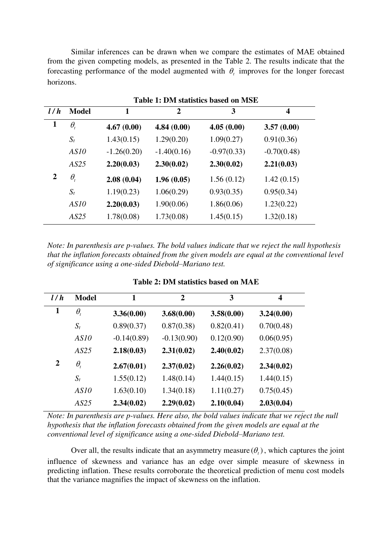Similar inferences can be drawn when we compare the estimates of MAE obtained from the given competing models, as presented in the Table 2. The results indicate that the forecasting performance of the model augmented with  $\theta$ <sub>c</sub> improves for the longer forecast horizons.

|              |                                 | Table 1: DM statistics based on MSE |               |               |               |  |  |  |
|--------------|---------------------------------|-------------------------------------|---------------|---------------|---------------|--|--|--|
| l/h          | <b>Model</b>                    | 1                                   | $\mathbf{2}$  | 3             | 4             |  |  |  |
| $\mathbf{1}$ | $\theta_{\scriptscriptstyle t}$ | 4.67(0.00)                          | 4.84(0.00)    | 4.05(0.00)    | 3.57(0.00)    |  |  |  |
|              | $S_t$                           | 1.43(0.15)                          | 1.29(0.20)    | 1.09(0.27)    | 0.91(0.36)    |  |  |  |
|              | AS10                            | $-1.26(0.20)$                       | $-1.40(0.16)$ | $-0.97(0.33)$ | $-0.70(0.48)$ |  |  |  |
|              | AS25                            | 2.20(0.03)                          | 2.30(0.02)    | 2.30(0.02)    | 2.21(0.03)    |  |  |  |
| 2            | $\theta_{\scriptscriptstyle t}$ | 2.08(0.04)                          | 1.96(0.05)    | 1.56(0.12)    | 1.42(0.15)    |  |  |  |
|              | $S_t$                           | 1.19(0.23)                          | 1.06(0.29)    | 0.93(0.35)    | 0.95(0.34)    |  |  |  |
|              | AS10                            | 2.20(0.03)                          | 1.90(0.06)    | 1.86(0.06)    | 1.23(0.22)    |  |  |  |
|              | AS25                            | 1.78(0.08)                          | 1.73(0.08)    | 1.45(0.15)    | 1.32(0.18)    |  |  |  |

*Note: In parenthesis are p-values. The bold values indicate that we reject the null hypothesis that the inflation forecasts obtained from the given models are equal at the conventional level of significance using a one-sided Diebold–Mariano test.* 

| l/h            | <b>Model</b>                        | 1             | $\overline{2}$ | 3          | $\overline{\mathbf{4}}$ |
|----------------|-------------------------------------|---------------|----------------|------------|-------------------------|
| $\mathbf{1}$   | $\theta_{\scriptscriptstyle\prime}$ | 3.36(0.00)    | 3.68(0.00)     | 3.58(0.00) | 3.24(0.00)              |
|                | $S_t$                               | 0.89(0.37)    | 0.87(0.38)     | 0.82(0.41) | 0.70(0.48)              |
|                | AS10                                | $-0.14(0.89)$ | $-0.13(0.90)$  | 0.12(0.90) | 0.06(0.95)              |
|                | AS25                                | 2.18(0.03)    | 2.31(0.02)     | 2.40(0.02) | 2.37(0.08)              |
| $\overline{2}$ | $\theta_{\scriptscriptstyle\prime}$ | 2.67(0.01)    | 2.37(0.02)     | 2.26(0.02) | 2.34(0.02)              |
|                | $S_t$                               | 1.55(0.12)    | 1.48(0.14)     | 1.44(0.15) | 1.44(0.15)              |
|                | AS10                                | 1.63(0.10)    | 1.34(0.18)     | 1.11(0.27) | 0.75(0.45)              |
|                | AS25                                | 2.34(0.02)    | 2.29(0.02)     | 2.10(0.04) | 2.03(0.04)              |

**Table 2: DM statistics based on MAE** 

*Note: In parenthesis are p-values. Here also, the bold values indicate that we reject the null hypothesis that the inflation forecasts obtained from the given models are equal at the conventional level of significance using a one-sided Diebold–Mariano test.* 

Over all, the results indicate that an asymmetry measure  $(\theta_t)$ , which captures the joint influence of skewness and variance has an edge over simple measure of skewness in predicting inflation. These results corroborate the theoretical prediction of menu cost models that the variance magnifies the impact of skewness on the inflation.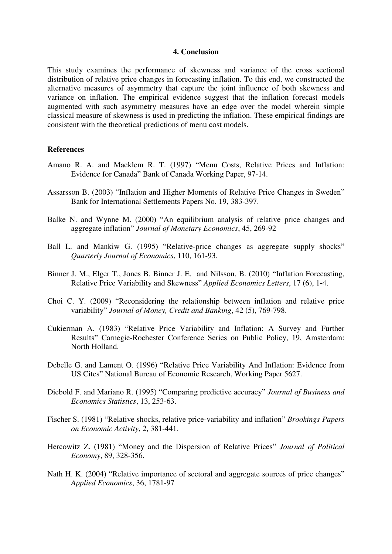### **4. Conclusion**

This study examines the performance of skewness and variance of the cross sectional distribution of relative price changes in forecasting inflation. To this end, we constructed the alternative measures of asymmetry that capture the joint influence of both skewness and variance on inflation. The empirical evidence suggest that the inflation forecast models augmented with such asymmetry measures have an edge over the model wherein simple classical measure of skewness is used in predicting the inflation. These empirical findings are consistent with the theoretical predictions of menu cost models.

## **References**

- Amano R. A. and Macklem R. T. (1997) "Menu Costs, Relative Prices and Inflation: Evidence for Canada" Bank of Canada Working Paper, 97-14.
- Assarsson B. (2003) "Inflation and Higher Moments of Relative Price Changes in Sweden" Bank for International Settlements Papers No. 19, 383-397.
- Balke N. and Wynne M. (2000) "An equilibrium analysis of relative price changes and aggregate inflation" *Journal of Monetary Economics*, 45, 269-92
- Ball L. and Mankiw G. (1995) "Relative-price changes as aggregate supply shocks" *Quarterly Journal of Economics*, 110, 161-93.
- Binner J. M., Elger T., Jones B. Binner J. E. and Nilsson, B. (2010) "Inflation Forecasting, Relative Price Variability and Skewness" *Applied Economics Letters*, 17 (6), 1‐4.
- Choi C. Y. (2009) "Reconsidering the relationship between inflation and relative price variability" *Journal of Money, Credit and Banking*, 42 (5), 769-798.
- Cukierman A. (1983) "Relative Price Variability and Inflation: A Survey and Further Results" Carnegie-Rochester Conference Series on Public Policy, 19, Amsterdam: North Holland.
- Debelle G. and Lament O. (1996) "Relative Price Variability And Inflation: Evidence from US Cites" National Bureau of Economic Research, Working Paper 5627.
- Diebold F. and Mariano R. (1995) "Comparing predictive accuracy" *Journal of Business and Economics Statistics*, 13, 253-63.
- Fischer S. (1981) "Relative shocks, relative price-variability and inflation" *Brookings Papers on Economic Activity*, 2, 381-441.
- Hercowitz Z. (1981) "Money and the Dispersion of Relative Prices" *Journal of Political Economy*, 89, 328-356.
- Nath H. K. (2004) "Relative importance of sectoral and aggregate sources of price changes" *Applied Economics*, 36, 1781-97